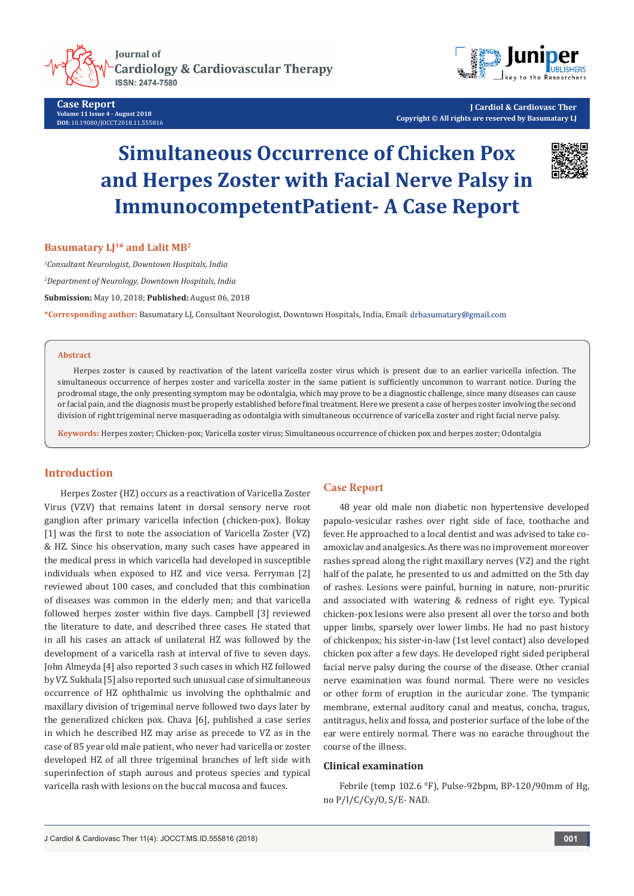**Journal of Cardiology & Cardiovascular Therapy ISSN: 2474-7580** 

**Case Report Volume 11 Issue 4 - August 2018 DOI:** [10.19080/JOCCT.2018.11.555816](http://dx.doi.org/10.19080/JOCCT.2018.11.555816)



**J Cardiol & Cardiovasc Ther Copyright © All rights are reserved by Basumatary LJ**

# **Simultaneous Occurrence of Chicken Pox and Herpes Zoster with Facial Nerve Palsy in ImmunocompetentPatient- A Case Report**



## **Basumatary L<sub>[1\*</sub> and Lalit MB<sup>2</sup>**

*1 Consultant Neurologist, Downtown Hospitals, India*

*2 Department of Neurology, Downtown Hospitals, India*

**Submission:** May 10, 2018; **Published:** August 06, 2018

**\*Corresponding author:** Basumatary LJ, Consultant Neurologist, Downtown Hospitals, India, Email:

### **Abstract**

Herpes zoster is caused by reactivation of the latent varicella zoster virus which is present due to an earlier varicella infection. The simultaneous occurrence of herpes zoster and varicella zoster in the same patient is sufficiently uncommon to warrant notice. During the prodromal stage, the only presenting symptom may be odontalgia, which may prove to be a diagnostic challenge, since many diseases can cause or facial pain, and the diagnosis must be properly established before final treatment. Here we present a case of herpes zoster involving the second division of right trigeminal nerve masquerading as odontalgia with simultaneous occurrence of varicella zoster and right facial nerve palsy.

**Keywords:** Herpes zoster; Chicken-pox; Varicella zoster virus; Simultaneous occurrence of chicken pox and herpes zoster; Odontalgia

## **Introduction**

Herpes Zoster (HZ) occurs as a reactivation of Varicella Zoster Virus (VZV) that remains latent in dorsal sensory nerve root ganglion after primary varicella infection (chicken-pox). Bokay [1] was the first to note the association of Varicella Zoster (VZ) & HZ. Since his observation, many such cases have appeared in the medical press in which varicella had developed in susceptible individuals when exposed to HZ and vice versa. Ferryman [2] reviewed about 100 cases, and concluded that this combination of diseases was common in the elderly men; and that varicella followed herpes zoster within five days. Campbell [3] reviewed the literature to date, and described three cases. He stated that in all his cases an attack of unilateral HZ was followed by the development of a varicella rash at interval of five to seven days. John Almeyda [4] also reported 3 such cases in which HZ followed by VZ. Sukhala [5] also reported such unusual case of simultaneous occurrence of HZ ophthalmic us involving the ophthalmic and maxillary division of trigeminal nerve followed two days later by the generalized chicken pox. Chava [6], published a case series in which he described HZ may arise as precede to VZ as in the case of 85 year old male patient, who never had varicella or zoster developed HZ of all three trigeminal branches of left side with superinfection of staph aurous and proteus species and typical varicella rash with lesions on the buccal mucosa and fauces.

## **Case Report**

48 year old male non diabetic non hypertensive developed papulo-vesicular rashes over right side of face, toothache and fever. He approached to a local dentist and was advised to take coamoxiclav and analgesics. As there was no improvement moreover rashes spread along the right maxillary nerves (V2) and the right half of the palate, he presented to us and admitted on the 5th day of rashes. Lesions were painful, burning in nature, non-pruritic and associated with watering & redness of right eye. Typical chicken-pox lesions were also present all over the torso and both upper limbs, sparsely over lower limbs. He had no past history of chickenpox; his sister-in-law (1st level contact) also developed chicken pox after a few days. He developed right sided peripheral facial nerve palsy during the course of the disease. Other cranial nerve examination was found normal. There were no vesicles or other form of eruption in the auricular zone. The tympanic membrane, external auditory canal and meatus, concha, tragus, antitragus, helix and fossa, and posterior surface of the lobe of the ear were entirely normal. There was no earache throughout the course of the illness.

## **Clinical examination**

Febrile (temp 102.6 °F), Pulse-92bpm, BP-120/90mm of Hg, no P/I/C/Cy/O, S/E- NAD.